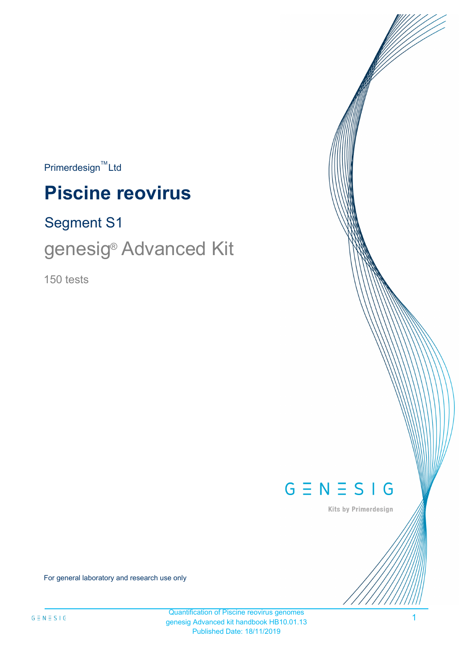$Primerdesign^{\text{TM}}$ Ltd

# **Piscine reovirus**

# Segment S1

# genesig<sup>®</sup> Advanced Kit

150 tests



Kits by Primerdesign

For general laboratory and research use only

1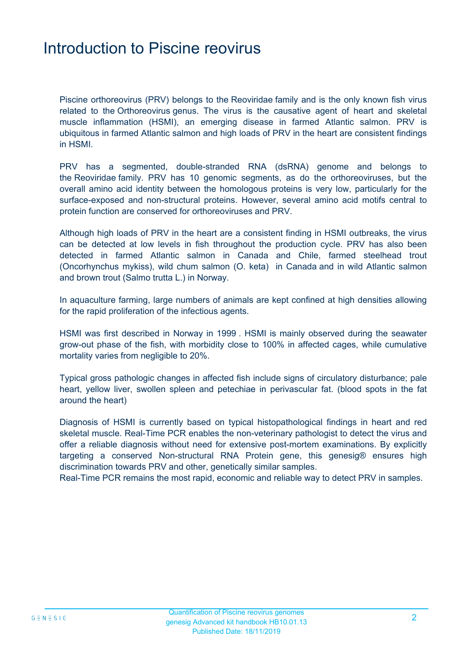### Introduction to Piscine reovirus

Piscine orthoreovirus (PRV) belongs to the Reoviridae family and is the only known fish virus related to the Orthoreovirus genus. The virus is the causative agent of heart and skeletal muscle inflammation (HSMI), an emerging disease in farmed Atlantic salmon. PRV is ubiquitous in farmed Atlantic salmon and high loads of PRV in the heart are consistent findings in HSMI.

PRV has a segmented, double-stranded RNA (dsRNA) genome and belongs to the Reoviridae family. PRV has 10 genomic segments, as do the orthoreoviruses, but the overall amino acid identity between the homologous proteins is very low, particularly for the surface-exposed and non-structural proteins. However, several amino acid motifs central to protein function are conserved for orthoreoviruses and PRV.

Although high loads of PRV in the heart are a consistent finding in HSMI outbreaks, the virus can be detected at low levels in fish throughout the production cycle. PRV has also been detected in farmed Atlantic salmon in Canada and Chile, farmed steelhead trout (Oncorhynchus mykiss), wild chum salmon (O. keta) in Canada and in wild Atlantic salmon and brown trout (Salmo trutta L.) in Norway.

In aquaculture farming, large numbers of animals are kept confined at high densities allowing for the rapid proliferation of the infectious agents.

HSMI was first described in Norway in 1999 . HSMI is mainly observed during the seawater grow-out phase of the fish, with morbidity close to 100% in affected cages, while cumulative mortality varies from negligible to 20%.

Typical gross pathologic changes in affected fish include signs of circulatory disturbance; pale heart, yellow liver, swollen spleen and petechiae in perivascular fat. (blood spots in the fat around the heart)

Diagnosis of HSMI is currently based on typical histopathological findings in heart and red skeletal muscle. Real-Time PCR enables the non-veterinary pathologist to detect the virus and offer a reliable diagnosis without need for extensive post-mortem examinations. By explicitly targeting a conserved Non-structural RNA Protein gene, this genesig® ensures high discrimination towards PRV and other, genetically similar samples.

Real-Time PCR remains the most rapid, economic and reliable way to detect PRV in samples.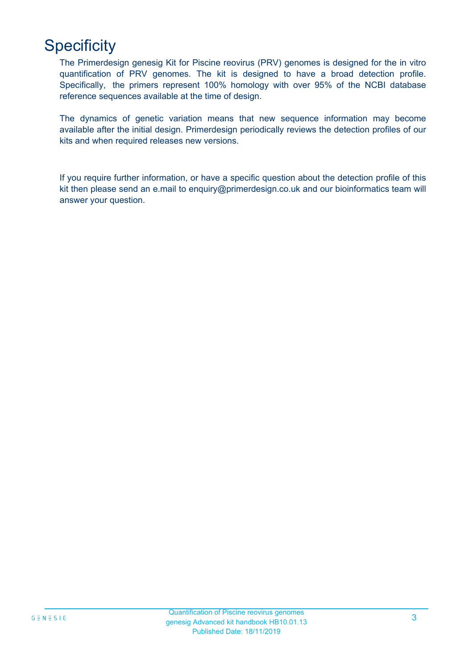# **Specificity**

The Primerdesign genesig Kit for Piscine reovirus (PRV) genomes is designed for the in vitro quantification of PRV genomes. The kit is designed to have a broad detection profile. Specifically, the primers represent 100% homology with over 95% of the NCBI database reference sequences available at the time of design.

The dynamics of genetic variation means that new sequence information may become available after the initial design. Primerdesign periodically reviews the detection profiles of our kits and when required releases new versions.

If you require further information, or have a specific question about the detection profile of this kit then please send an e.mail to enquiry@primerdesign.co.uk and our bioinformatics team will answer your question.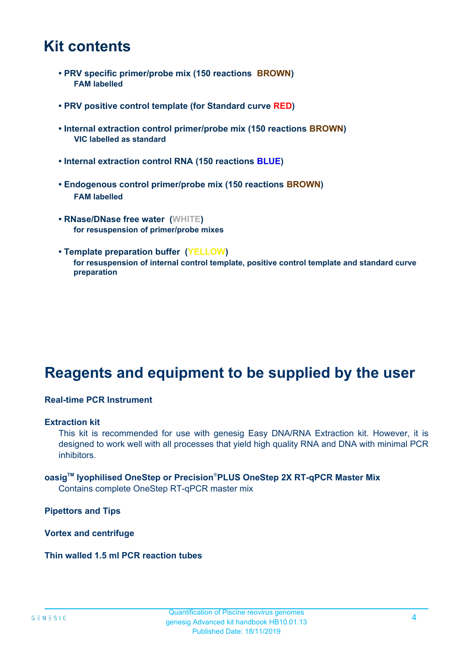### **Kit contents**

- **PRV specific primer/probe mix (150 reactions BROWN) FAM labelled**
- **PRV positive control template (for Standard curve RED)**
- **Internal extraction control primer/probe mix (150 reactions BROWN) VIC labelled as standard**
- **Internal extraction control RNA (150 reactions BLUE)**
- **Endogenous control primer/probe mix (150 reactions BROWN) FAM labelled**
- **RNase/DNase free water (WHITE) for resuspension of primer/probe mixes**
- **Template preparation buffer (YELLOW) for resuspension of internal control template, positive control template and standard curve preparation**

# **Reagents and equipment to be supplied by the user**

#### **Real-time PCR Instrument**

#### **Extraction kit**

This kit is recommended for use with genesig Easy DNA/RNA Extraction kit. However, it is designed to work well with all processes that yield high quality RNA and DNA with minimal PCR inhibitors.

### **oasigTM lyophilised OneStep or Precision**®**PLUS OneStep 2X RT-qPCR Master Mix**

Contains complete OneStep RT-qPCR master mix

**Pipettors and Tips**

**Vortex and centrifuge**

#### **Thin walled 1.5 ml PCR reaction tubes**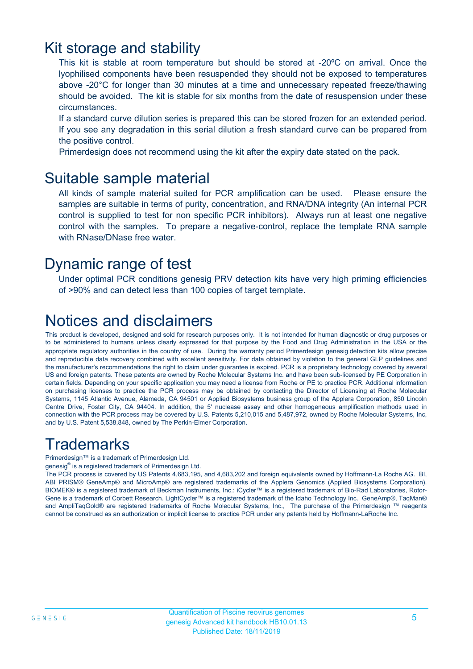### Kit storage and stability

This kit is stable at room temperature but should be stored at -20ºC on arrival. Once the lyophilised components have been resuspended they should not be exposed to temperatures above -20°C for longer than 30 minutes at a time and unnecessary repeated freeze/thawing should be avoided. The kit is stable for six months from the date of resuspension under these circumstances.

If a standard curve dilution series is prepared this can be stored frozen for an extended period. If you see any degradation in this serial dilution a fresh standard curve can be prepared from the positive control.

Primerdesign does not recommend using the kit after the expiry date stated on the pack.

### Suitable sample material

All kinds of sample material suited for PCR amplification can be used. Please ensure the samples are suitable in terms of purity, concentration, and RNA/DNA integrity (An internal PCR control is supplied to test for non specific PCR inhibitors). Always run at least one negative control with the samples. To prepare a negative-control, replace the template RNA sample with RNase/DNase free water.

### Dynamic range of test

Under optimal PCR conditions genesig PRV detection kits have very high priming efficiencies of >90% and can detect less than 100 copies of target template.

# Notices and disclaimers

This product is developed, designed and sold for research purposes only. It is not intended for human diagnostic or drug purposes or to be administered to humans unless clearly expressed for that purpose by the Food and Drug Administration in the USA or the appropriate regulatory authorities in the country of use. During the warranty period Primerdesign genesig detection kits allow precise and reproducible data recovery combined with excellent sensitivity. For data obtained by violation to the general GLP guidelines and the manufacturer's recommendations the right to claim under guarantee is expired. PCR is a proprietary technology covered by several US and foreign patents. These patents are owned by Roche Molecular Systems Inc. and have been sub-licensed by PE Corporation in certain fields. Depending on your specific application you may need a license from Roche or PE to practice PCR. Additional information on purchasing licenses to practice the PCR process may be obtained by contacting the Director of Licensing at Roche Molecular Systems, 1145 Atlantic Avenue, Alameda, CA 94501 or Applied Biosystems business group of the Applera Corporation, 850 Lincoln Centre Drive, Foster City, CA 94404. In addition, the 5' nuclease assay and other homogeneous amplification methods used in connection with the PCR process may be covered by U.S. Patents 5,210,015 and 5,487,972, owned by Roche Molecular Systems, Inc, and by U.S. Patent 5,538,848, owned by The Perkin-Elmer Corporation.

# **Trademarks**

Primerdesign™ is a trademark of Primerdesign Ltd.

genesig® is a registered trademark of Primerdesign Ltd.

The PCR process is covered by US Patents 4,683,195, and 4,683,202 and foreign equivalents owned by Hoffmann-La Roche AG. BI, ABI PRISM® GeneAmp® and MicroAmp® are registered trademarks of the Applera Genomics (Applied Biosystems Corporation). BIOMEK® is a registered trademark of Beckman Instruments, Inc.; iCycler™ is a registered trademark of Bio-Rad Laboratories, Rotor-Gene is a trademark of Corbett Research. LightCycler™ is a registered trademark of the Idaho Technology Inc. GeneAmp®, TaqMan® and AmpliTaqGold® are registered trademarks of Roche Molecular Systems, Inc., The purchase of the Primerdesign ™ reagents cannot be construed as an authorization or implicit license to practice PCR under any patents held by Hoffmann-LaRoche Inc.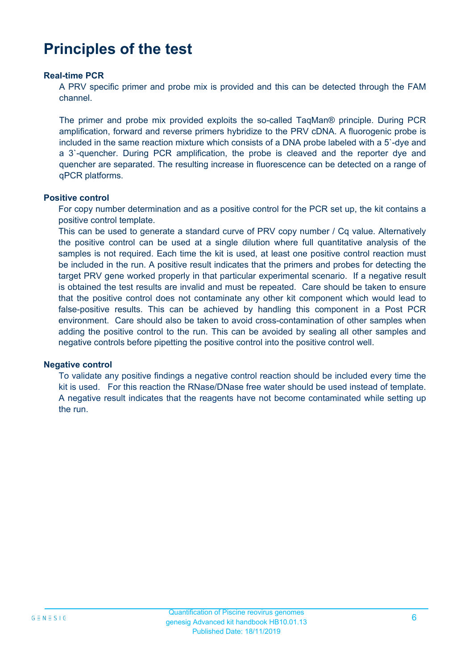# **Principles of the test**

#### **Real-time PCR**

A PRV specific primer and probe mix is provided and this can be detected through the FAM channel.

The primer and probe mix provided exploits the so-called TaqMan® principle. During PCR amplification, forward and reverse primers hybridize to the PRV cDNA. A fluorogenic probe is included in the same reaction mixture which consists of a DNA probe labeled with a 5`-dye and a 3`-quencher. During PCR amplification, the probe is cleaved and the reporter dye and quencher are separated. The resulting increase in fluorescence can be detected on a range of qPCR platforms.

#### **Positive control**

For copy number determination and as a positive control for the PCR set up, the kit contains a positive control template.

This can be used to generate a standard curve of PRV copy number / Cq value. Alternatively the positive control can be used at a single dilution where full quantitative analysis of the samples is not required. Each time the kit is used, at least one positive control reaction must be included in the run. A positive result indicates that the primers and probes for detecting the target PRV gene worked properly in that particular experimental scenario. If a negative result is obtained the test results are invalid and must be repeated. Care should be taken to ensure that the positive control does not contaminate any other kit component which would lead to false-positive results. This can be achieved by handling this component in a Post PCR environment. Care should also be taken to avoid cross-contamination of other samples when adding the positive control to the run. This can be avoided by sealing all other samples and negative controls before pipetting the positive control into the positive control well.

#### **Negative control**

To validate any positive findings a negative control reaction should be included every time the kit is used. For this reaction the RNase/DNase free water should be used instead of template. A negative result indicates that the reagents have not become contaminated while setting up the run.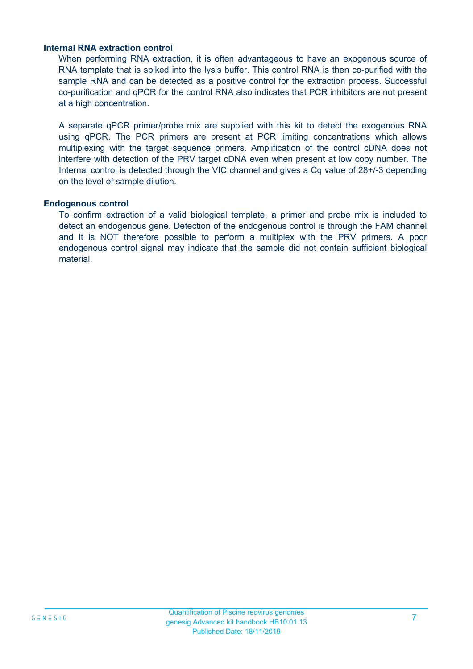#### **Internal RNA extraction control**

When performing RNA extraction, it is often advantageous to have an exogenous source of RNA template that is spiked into the lysis buffer. This control RNA is then co-purified with the sample RNA and can be detected as a positive control for the extraction process. Successful co-purification and qPCR for the control RNA also indicates that PCR inhibitors are not present at a high concentration.

A separate qPCR primer/probe mix are supplied with this kit to detect the exogenous RNA using qPCR. The PCR primers are present at PCR limiting concentrations which allows multiplexing with the target sequence primers. Amplification of the control cDNA does not interfere with detection of the PRV target cDNA even when present at low copy number. The Internal control is detected through the VIC channel and gives a Cq value of 28+/-3 depending on the level of sample dilution.

#### **Endogenous control**

To confirm extraction of a valid biological template, a primer and probe mix is included to detect an endogenous gene. Detection of the endogenous control is through the FAM channel and it is NOT therefore possible to perform a multiplex with the PRV primers. A poor endogenous control signal may indicate that the sample did not contain sufficient biological material.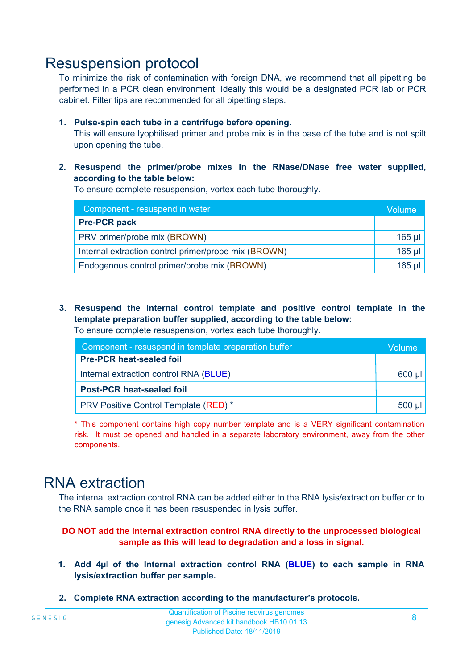### Resuspension protocol

To minimize the risk of contamination with foreign DNA, we recommend that all pipetting be performed in a PCR clean environment. Ideally this would be a designated PCR lab or PCR cabinet. Filter tips are recommended for all pipetting steps.

#### **1. Pulse-spin each tube in a centrifuge before opening.**

This will ensure lyophilised primer and probe mix is in the base of the tube and is not spilt upon opening the tube.

**2. Resuspend the primer/probe mixes in the RNase/DNase free water supplied, according to the table below:**

To ensure complete resuspension, vortex each tube thoroughly.

| Component - resuspend in water                       |          |  |
|------------------------------------------------------|----------|--|
| <b>Pre-PCR pack</b>                                  |          |  |
| PRV primer/probe mix (BROWN)                         | $165$ µl |  |
| Internal extraction control primer/probe mix (BROWN) | $165$ µl |  |
| Endogenous control primer/probe mix (BROWN)          |          |  |

**3. Resuspend the internal control template and positive control template in the template preparation buffer supplied, according to the table below:** To ensure complete resuspension, vortex each tube thoroughly.

| Component - resuspend in template preparation buffer |          |  |  |
|------------------------------------------------------|----------|--|--|
| <b>Pre-PCR heat-sealed foil</b>                      |          |  |  |
| Internal extraction control RNA (BLUE)               |          |  |  |
| <b>Post-PCR heat-sealed foil</b>                     |          |  |  |
| PRV Positive Control Template (RED) *                | $500$ µl |  |  |

\* This component contains high copy number template and is a VERY significant contamination risk. It must be opened and handled in a separate laboratory environment, away from the other components.

### RNA extraction

The internal extraction control RNA can be added either to the RNA lysis/extraction buffer or to the RNA sample once it has been resuspended in lysis buffer.

#### **DO NOT add the internal extraction control RNA directly to the unprocessed biological sample as this will lead to degradation and a loss in signal.**

- **1. Add 4µ**l **of the Internal extraction control RNA (BLUE) to each sample in RNA lysis/extraction buffer per sample.**
- **2. Complete RNA extraction according to the manufacturer's protocols.**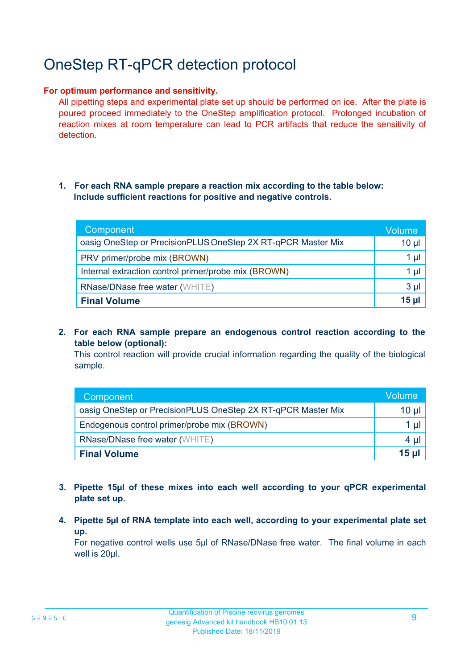# OneStep RT-qPCR detection protocol

#### **For optimum performance and sensitivity.**

All pipetting steps and experimental plate set up should be performed on ice. After the plate is poured proceed immediately to the OneStep amplification protocol. Prolonged incubation of reaction mixes at room temperature can lead to PCR artifacts that reduce the sensitivity of detection.

#### **1. For each RNA sample prepare a reaction mix according to the table below: Include sufficient reactions for positive and negative controls.**

| Component                                                    | <b>Volume</b>   |
|--------------------------------------------------------------|-----------------|
| oasig OneStep or PrecisionPLUS OneStep 2X RT-qPCR Master Mix | $10 \mu$        |
| PRV primer/probe mix (BROWN)                                 | 1 µl            |
| Internal extraction control primer/probe mix (BROWN)         | $1 \mu$         |
| <b>RNase/DNase free water (WHITE)</b>                        | $3 \mu$         |
| <b>Final Volume</b>                                          | 15 <sub>µ</sub> |

**2. For each RNA sample prepare an endogenous control reaction according to the table below (optional):**

This control reaction will provide crucial information regarding the quality of the biological sample.

| Component                                                    | Volume |
|--------------------------------------------------------------|--------|
| oasig OneStep or PrecisionPLUS OneStep 2X RT-qPCR Master Mix | 10 µl  |
| Endogenous control primer/probe mix (BROWN)                  | 1 µl   |
| <b>RNase/DNase free water (WHITE)</b>                        | 4 µl   |
| <b>Final Volume</b>                                          | 15 ul  |

- **3. Pipette 15µl of these mixes into each well according to your qPCR experimental plate set up.**
- **4. Pipette 5µl of RNA template into each well, according to your experimental plate set up.**

For negative control wells use 5µl of RNase/DNase free water. The final volume in each well is 20ul.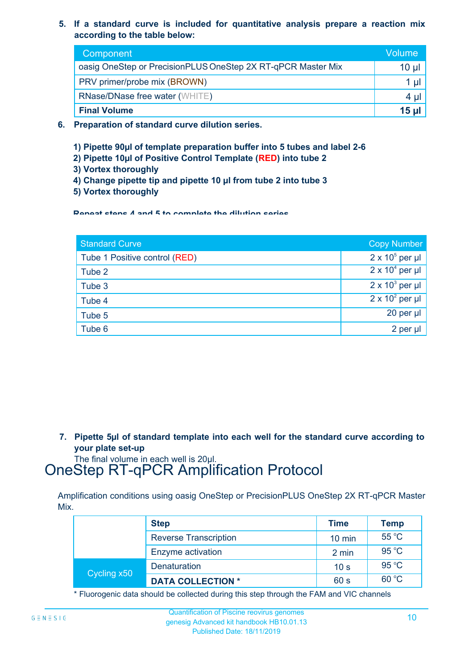**5. If a standard curve is included for quantitative analysis prepare a reaction mix according to the table below:**

| Component                                                    | Volume       |
|--------------------------------------------------------------|--------------|
| oasig OneStep or PrecisionPLUS OneStep 2X RT-qPCR Master Mix | $10 \mu$     |
| PRV primer/probe mix (BROWN)                                 | 1 U          |
| <b>RNase/DNase free water (WHITE)</b>                        | $4 \mu$      |
| <b>Final Volume</b>                                          | <u>15 ul</u> |

- **6. Preparation of standard curve dilution series.**
	- **1) Pipette 90µl of template preparation buffer into 5 tubes and label 2-6**
	- **2) Pipette 10µl of Positive Control Template (RED) into tube 2**
	- **3) Vortex thoroughly**
	- **4) Change pipette tip and pipette 10 µl from tube 2 into tube 3**
	- **5) Vortex thoroughly**

**Repeat steps 4 and 5 to complete the dilution series**

| <b>Standard Curve</b>         | <b>Copy Number</b>     |
|-------------------------------|------------------------|
| Tube 1 Positive control (RED) | $2 \times 10^5$ per µl |
| Tube 2                        | $2 \times 10^4$ per µl |
| Tube 3                        | $2 \times 10^3$ per µl |
| Tube 4                        | $2 \times 10^2$ per µl |
| Tube 5                        | 20 per µl              |
| Tube 6                        | 2 per µl               |

**7. Pipette 5µl of standard template into each well for the standard curve according to your plate set-up**

The final volume in each well is 20µl.

# OneStep RT-qPCR Amplification Protocol

Amplification conditions using oasig OneStep or PrecisionPLUS OneStep 2X RT-qPCR Master Mix.

|             | <b>Step</b>                  | <b>Time</b>      | <b>Temp</b> |
|-------------|------------------------------|------------------|-------------|
|             | <b>Reverse Transcription</b> | $10 \text{ min}$ | 55 °C       |
|             | Enzyme activation            | 2 min            | 95 °C       |
| Cycling x50 | <b>Denaturation</b>          | 10 <sub>s</sub>  | 95 °C       |
|             | <b>DATA COLLECTION *</b>     | 60 s             | 60 °C       |

\* Fluorogenic data should be collected during this step through the FAM and VIC channels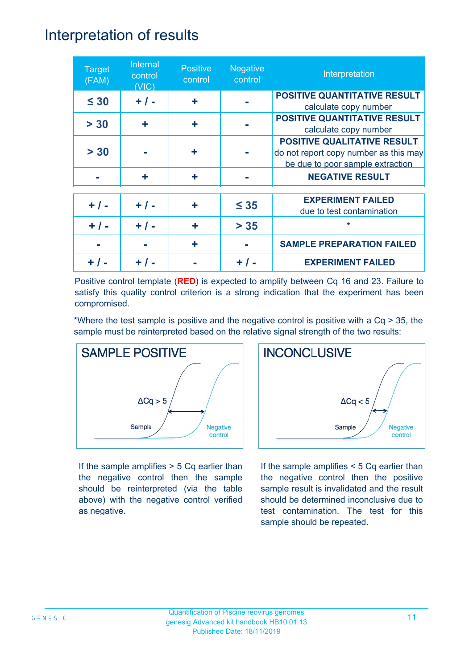### Interpretation of results

| <b>Target</b><br>(FAM) | Internal<br>control<br>(VIC) | <b>Positive</b><br>control | <b>Negative</b><br>control | Interpretation                                                                                                  |
|------------------------|------------------------------|----------------------------|----------------------------|-----------------------------------------------------------------------------------------------------------------|
| $\leq 30$              | $+ / -$                      | ÷                          |                            | <b>POSITIVE QUANTITATIVE RESULT</b><br>calculate copy number                                                    |
| > 30                   | ÷                            | ÷                          |                            | <b>POSITIVE QUANTITATIVE RESULT</b><br>calculate copy number                                                    |
| > 30                   |                              | ٠                          |                            | <b>POSITIVE QUALITATIVE RESULT</b><br>do not report copy number as this may<br>be due to poor sample extraction |
|                        | ÷                            | ٠                          |                            | <b>NEGATIVE RESULT</b>                                                                                          |
| $+ / -$                | $+ / -$                      | ٠                          | $\leq 35$                  | <b>EXPERIMENT FAILED</b><br>due to test contamination                                                           |
| $+ 1 -$                | $+ 1 -$                      | ÷                          | $> 35$                     | $\star$                                                                                                         |
|                        |                              |                            |                            | <b>SAMPLE PREPARATION FAILED</b>                                                                                |
|                        |                              |                            |                            | <b>EXPERIMENT FAILED</b>                                                                                        |

Positive control template (**RED**) is expected to amplify between Cq 16 and 23. Failure to satisfy this quality control criterion is a strong indication that the experiment has been compromised.

\*Where the test sample is positive and the negative control is positive with a Cq > 35, the sample must be reinterpreted based on the relative signal strength of the two results:



If the sample amplifies > 5 Cq earlier than the negative control then the sample should be reinterpreted (via the table above) with the negative control verified as negative.



If the sample amplifies < 5 Cq earlier than the negative control then the positive sample result is invalidated and the result should be determined inconclusive due to test contamination. The test for this sample should be repeated.